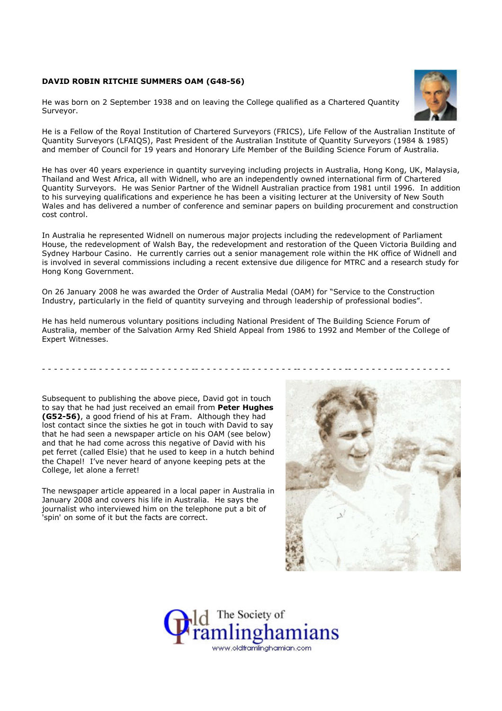## DAVID ROBIN RITCHIE SUMMERS OAM (G48-56)

He was born on 2 September 1938 and on leaving the College qualified as a Chartered Quantity Surveyor.



He is a Fellow of the Royal Institution of Chartered Surveyors (FRICS), Life Fellow of the Australian Institute of Quantity Surveyors (LFAIQS), Past President of the Australian Institute of Quantity Surveyors (1984 & 1985) and member of Council for 19 years and Honorary Life Member of the Building Science Forum of Australia.

He has over 40 years experience in quantity surveying including projects in Australia, Hong Kong, UK, Malaysia, Thailand and West Africa, all with Widnell, who are an independently owned international firm of Chartered Quantity Surveyors. He was Senior Partner of the Widnell Australian practice from 1981 until 1996. In addition to his surveying qualifications and experience he has been a visiting lecturer at the University of New South Wales and has delivered a number of conference and seminar papers on building procurement and construction cost control.

In Australia he represented Widnell on numerous major projects including the redevelopment of Parliament House, the redevelopment of Walsh Bay, the redevelopment and restoration of the Queen Victoria Building and Sydney Harbour Casino. He currently carries out a senior management role within the HK office of Widnell and is involved in several commissions including a recent extensive due diligence for MTRC and a research study for Hong Kong Government.

On 26 January 2008 he was awarded the Order of Australia Medal (OAM) for "Service to the Construction Industry, particularly in the field of quantity surveying and through leadership of professional bodies".

He has held numerous voluntary positions including National President of The Building Science Forum of Australia, member of the Salvation Army Red Shield Appeal from 1986 to 1992 and Member of the College of Expert Witnesses.

Subsequent to publishing the above piece, David got in touch to say that he had just received an email from Peter Hughes (G52-56), a good friend of his at Fram. Although they had lost contact since the sixties he got in touch with David to say that he had seen a newspaper article on his OAM (see below) and that he had come across this negative of David with his pet ferret (called Elsie) that he used to keep in a hutch behind the Chapel! I've never heard of anyone keeping pets at the College, let alone a ferret!

The newspaper article appeared in a local paper in Australia in January 2008 and covers his life in Australia. He says the journalist who interviewed him on the telephone put a bit of 'spin' on some of it but the facts are correct.